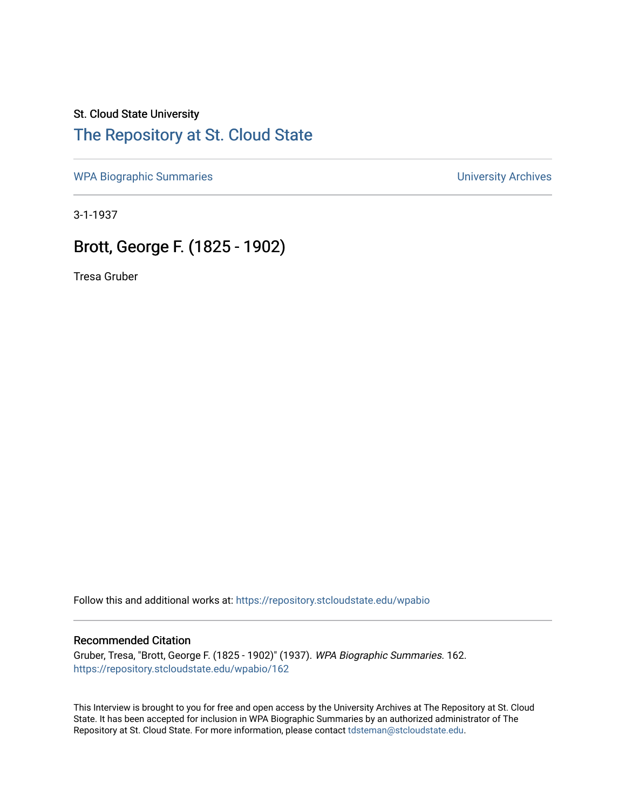### St. Cloud State University

# [The Repository at St. Cloud State](https://repository.stcloudstate.edu/)

[WPA Biographic Summaries](https://repository.stcloudstate.edu/wpabio) **WPA Biographic Summaries University Archives** 

3-1-1937

# Brott, George F. (1825 - 1902)

Tresa Gruber

Follow this and additional works at: [https://repository.stcloudstate.edu/wpabio](https://repository.stcloudstate.edu/wpabio?utm_source=repository.stcloudstate.edu%2Fwpabio%2F162&utm_medium=PDF&utm_campaign=PDFCoverPages) 

#### Recommended Citation

Gruber, Tresa, "Brott, George F. (1825 - 1902)" (1937). WPA Biographic Summaries. 162. [https://repository.stcloudstate.edu/wpabio/162](https://repository.stcloudstate.edu/wpabio/162?utm_source=repository.stcloudstate.edu%2Fwpabio%2F162&utm_medium=PDF&utm_campaign=PDFCoverPages) 

This Interview is brought to you for free and open access by the University Archives at The Repository at St. Cloud State. It has been accepted for inclusion in WPA Biographic Summaries by an authorized administrator of The Repository at St. Cloud State. For more information, please contact [tdsteman@stcloudstate.edu.](mailto:tdsteman@stcloudstate.edu)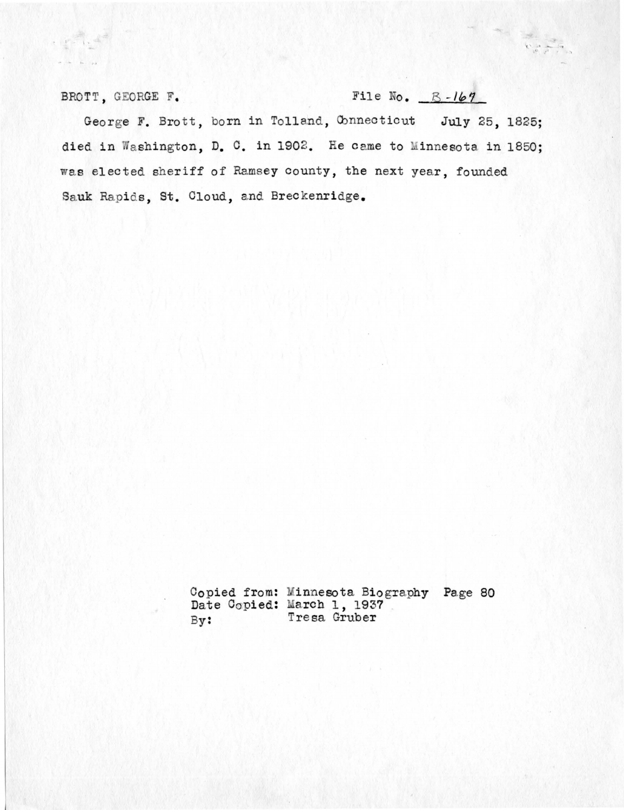### BROTT, GEORGE F. File No.  $B-167$

George F. Brott, born in Tolland, Connecticut July 25, 1825; died in Washington, D. C. in 1902. He came to Minnesota in 1850; was elected sheriff of Ramsey county, the next year, founded Sauk Rapids, St. Cloud, and Breckenridge.

> Copied from: Date Copied: By: Linnesota Biography arch 1, 1937 Tresa Gruber Page 80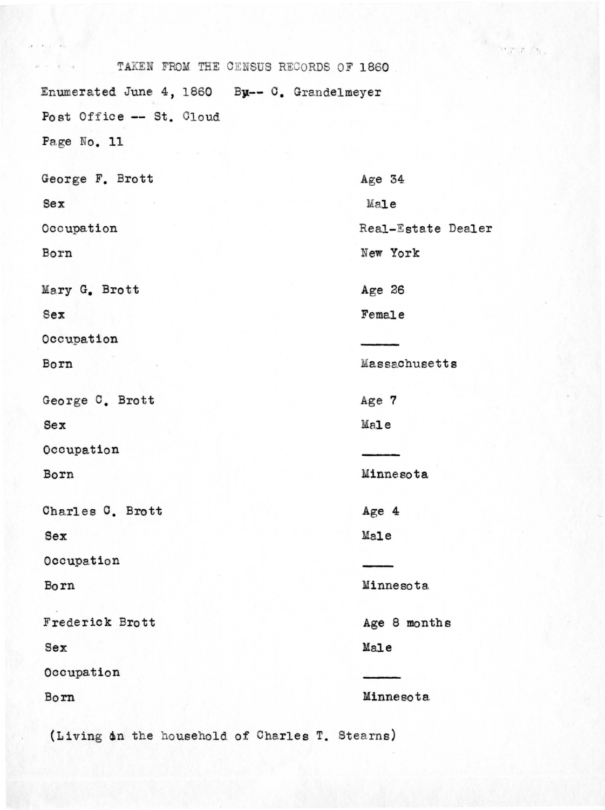TAKEN FROM THE CENSUS RECORDS OF 1860 Enumerated June 4, 1860 By-- C. Grandelmeyer Post Office -- St. Cloud Page No. 11 George F. Brott Age 34  $Sex$ Male Occupation Real-Estate Dealer New York Born Mary G. Brott Age 26 Female  $Sex$ Occupation Massachusetts Born George C. Brott Age 7 Male Sex Occupation Minnesota Born Charles C. Brott Age 4 Sex Male Occupation Born Minnesota Frederick Brott Age 8 months Male Sex Occupation Minnesota Born

(Living in the household of Charles T. Stearns)